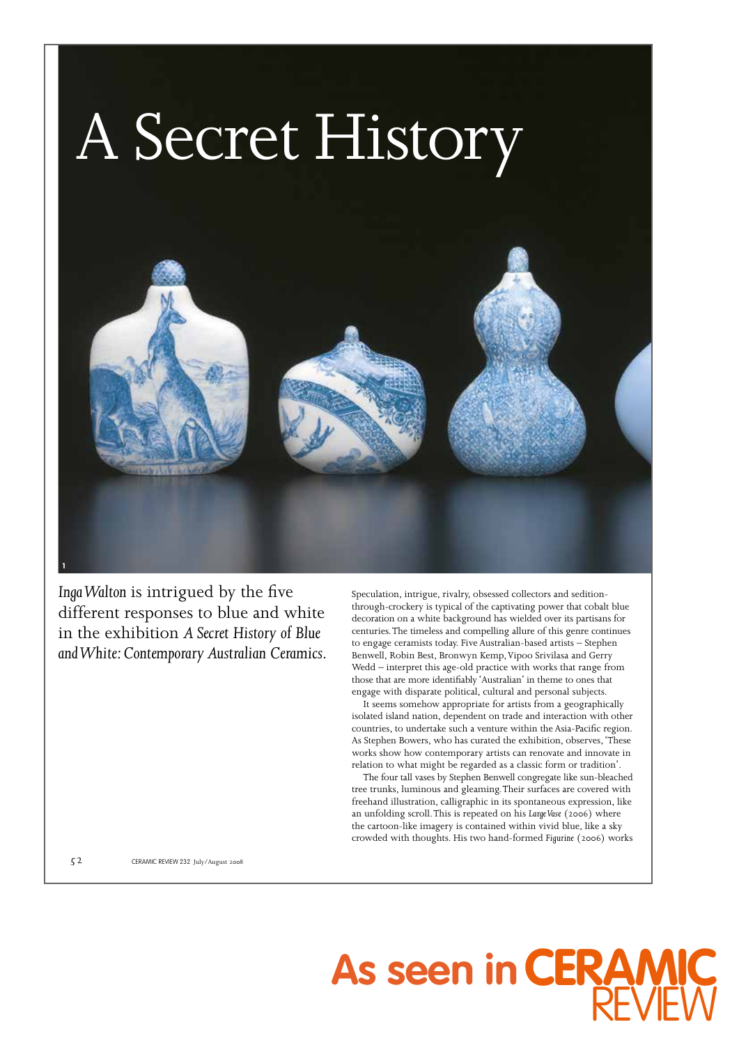

*Inga Walton* is intrigued by the five different responses to blue and white in the exhibition *A Secret History of Blue and White: Contemporary Australian Ceramics*.

Speculation, intrigue, rivalry, obsessed collectors and seditionthrough-crockery is typical of the captivating power that cobalt blue decoration on a white background has wielded over its partisans for centuries. The timeless and compelling allure of this genre continues to engage ceramists today. Five Australian-based artists – Stephen Benwell, Robin Best, Bronwyn Kemp, Vipoo Srivilasa and Gerry Wedd – interpret this age-old practice with works that range from those that are more identifiably 'Australian' in theme to ones that engage with disparate political, cultural and personal subjects.

It seems somehow appropriate for artists from a geographically isolated island nation, dependent on trade and interaction with other countries, to undertake such a venture within the Asia-Pacific region. As Stephen Bowers, who has curated the exhibition, observes, 'These works show how contemporary artists can renovate and innovate in relation to what might be regarded as a classic form or tradition'.

The four tall vases by Stephen Benwell congregate like sun-bleached tree trunks, luminous and gleaming. Their surfaces are covered with freehand illustration, calligraphic in its spontaneous expression, like an unfolding scroll. This is repeated on his *Large Vase* (2006) where the cartoon-like imagery is contained within vivid blue, like a sky crowded with thoughts. His two hand-formed *Figurine* (2006) works

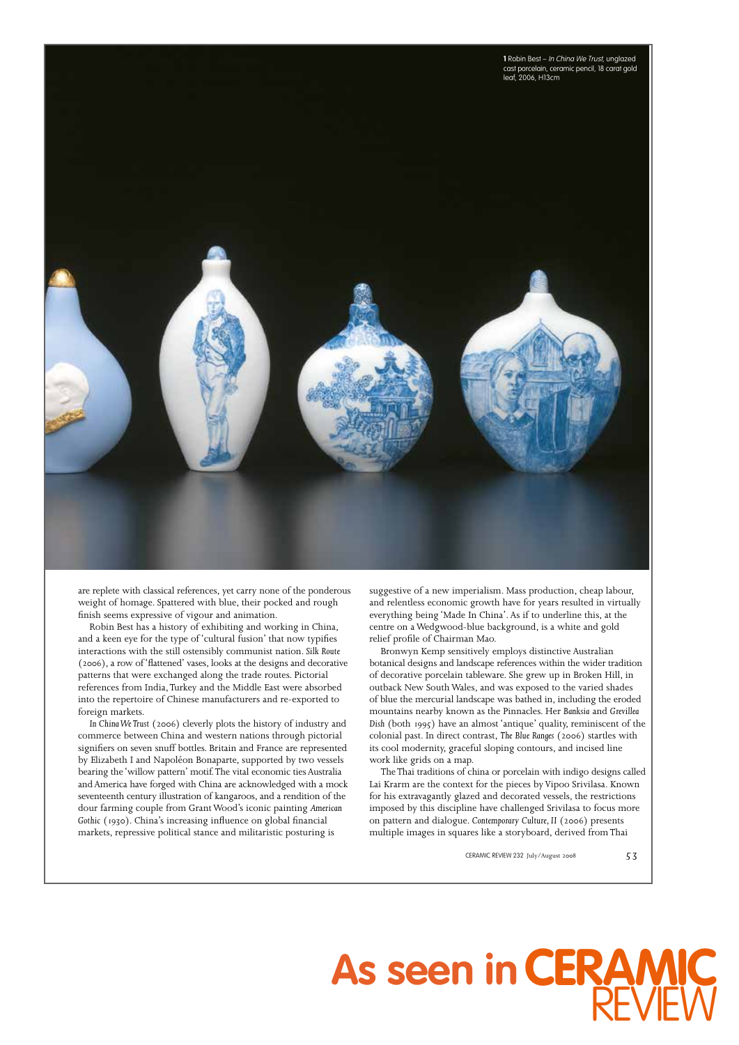

are replete with classical references, yet carry none of the ponderous weight of homage. Spattered with blue, their pocked and rough finish seems expressive of vigour and animation.

Robin Best has a history of exhibiting and working in China, and a keen eye for the type of 'cultural fusion' that now typifies interactions with the still ostensibly communist nation. *Silk Route* (2006), a row of 'flattened' vases, looks at the designs and decorative patterns that were exchanged along the trade routes. Pictorial references from India, Turkey and the Middle East were absorbed into the repertoire of Chinese manufacturers and re-exported to foreign markets.

*In China We Trust* (2006) cleverly plots the history of industry and commerce between China and western nations through pictorial signifiers on seven snuff bottles. Britain and France are represented by Elizabeth I and Napoléon Bonaparte, supported by two vessels bearing the 'willow pattern' motif. The vital economic ties Australia and America have forged with China are acknowledged with a mock seventeenth century illustration of kangaroos, and a rendition of the dour farming couple from Grant Wood's iconic painting *American Gothic* (1930). China's increasing influence on global financial markets, repressive political stance and militaristic posturing is

suggestive of a new imperialism. Mass production, cheap labour, and relentless economic growth have for years resulted in virtually everything being 'Made In China'. As if to underline this, at the centre on a Wedgwood-blue background, is a white and gold relief profile of Chairman Mao.

Bronwyn Kemp sensitively employs distinctive Australian botanical designs and landscape references within the wider tradition of decorative porcelain tableware. She grew up in Broken Hill, in outback New South Wales, and was exposed to the varied shades of blue the mercurial landscape was bathed in, including the eroded mountains nearby known as the Pinnacles. Her *Banksia* and *Grevillea Dish* (both 1995) have an almost 'antique' quality, reminiscent of the colonial past. In direct contrast, *The Blue Ranges* (2006) startles with its cool modernity, graceful sloping contours, and incised line work like grids on a map.

The Thai traditions of china or porcelain with indigo designs called Lai Krarm are the context for the pieces by Vipoo Srivilasa. Known for his extravagantly glazed and decorated vessels, the restrictions imposed by this discipline have challenged Srivilasa to focus more on pattern and dialogue. *Contemporary Culture, II* (2006) presents multiple images in squares like a storyboard, derived from Thai

## As seen in **CERAMIC** REV**IEW**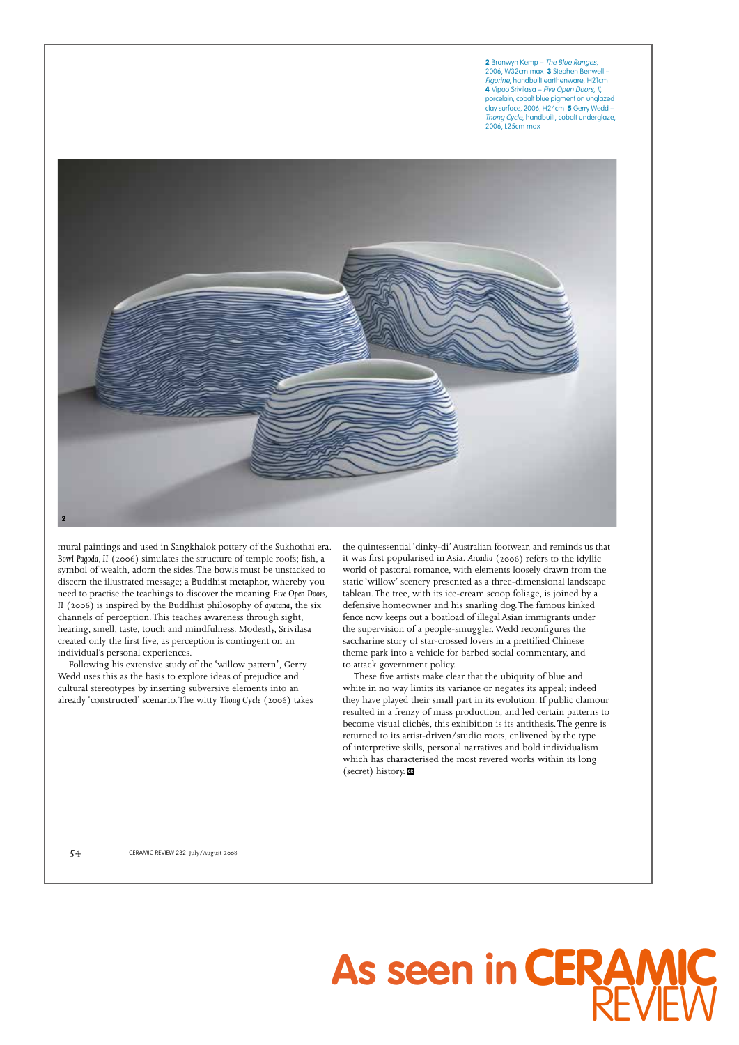**2** Bronwyn Kemp – The Blue Ranges, 2006, W32cm max **3** Stephen Benwell – Figurine, handbuilt earthenware, H21cm **4** Vipoo Srivilasa – Five Open Doors, II, porcelain, cobalt blue pigment on unglazed clay surface, 2006, H24cm **5** Gerry Wedd – Thong Cycle, handbuilt, cobalt underglaze, 2006, L25cm max



mural paintings and used in Sangkhalok pottery of the Sukhothai era. *Bowl Pagoda, II* (2006) simulates the structure of temple roofs; fish, a symbol of wealth, adorn the sides. The bowls must be unstacked to discern the illustrated message; a Buddhist metaphor, whereby you need to practise the teachings to discover the meaning. *Five Open Doors, II* (2006) is inspired by the Buddhist philosophy of *ayatana*, the six channels of perception. This teaches awareness through sight, hearing, smell, taste, touch and mindfulness. Modestly, Srivilasa created only the first five, as perception is contingent on an individual's personal experiences.

Following his extensive study of the 'willow pattern', Gerry Wedd uses this as the basis to explore ideas of prejudice and cultural stereotypes by inserting subversive elements into an already 'constructed' scenario. The witty *Thong Cycle* (2006) takes the quintessential 'dinky-di' Australian footwear, and reminds us that it was first popularised in Asia. *Arcadia* (2006) refers to the idyllic world of pastoral romance, with elements loosely drawn from the static 'willow' scenery presented as a three-dimensional landscape tableau. The tree, with its ice-cream scoop foliage, is joined by a defensive homeowner and his snarling dog. The famous kinked fence now keeps out a boatload of illegal Asian immigrants under the supervision of a people-smuggler. Wedd reconfigures the saccharine story of star-crossed lovers in a prettified Chinese theme park into a vehicle for barbed social commentary, and to attack government policy.

These five artists make clear that the ubiquity of blue and white in no way limits its variance or negates its appeal; indeed they have played their small part in its evolution. If public clamour resulted in a frenzy of mass production, and led certain patterns to become visual clichés, this exhibition is its antithesis. The genre is returned to its artist-driven/studio roots, enlivened by the type of interpretive skills, personal narratives and bold individualism which has characterised the most revered works within its long (secret) history. **CR**

**As seen in**

**CERAMIC**

REV

**IEW**